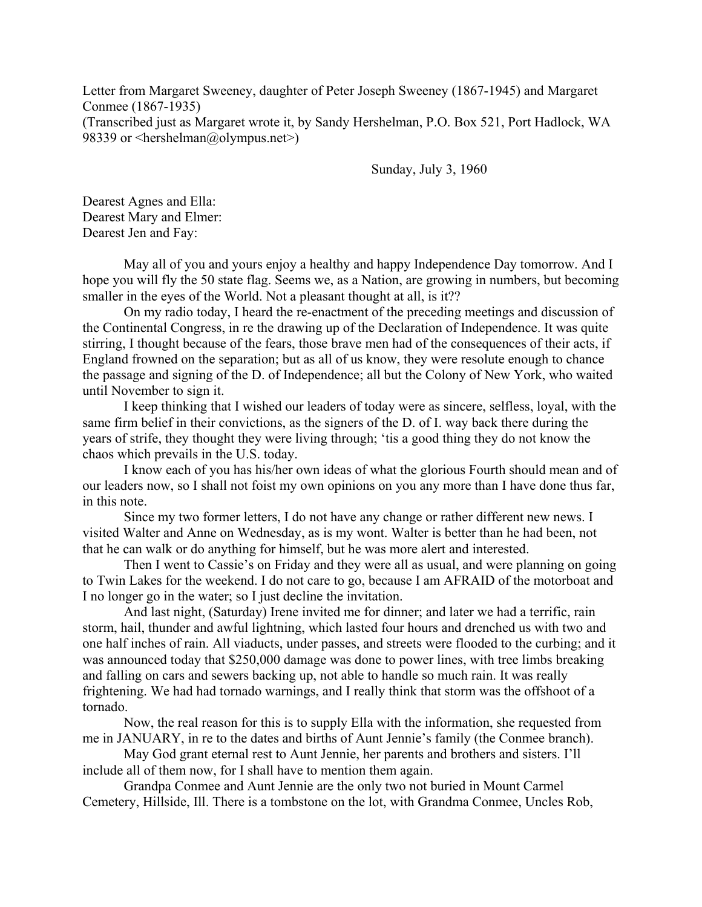Letter from Margaret Sweeney, daughter of Peter Joseph Sweeney (1867-1945) and Margaret Conmee (1867-1935) (Transcribed just as Margaret wrote it, by Sandy Hershelman, P.O. Box 521, Port Hadlock, WA 98339 or  $\leq$ hershelman@olympus.net $\geq$ )

Sunday, July 3, 1960

Dearest Agnes and Ella: Dearest Mary and Elmer: Dearest Jen and Fay:

 May all of you and yours enjoy a healthy and happy Independence Day tomorrow. And I hope you will fly the 50 state flag. Seems we, as a Nation, are growing in numbers, but becoming smaller in the eyes of the World. Not a pleasant thought at all, is it??

 On my radio today, I heard the re-enactment of the preceding meetings and discussion of the Continental Congress, in re the drawing up of the Declaration of Independence. It was quite stirring, I thought because of the fears, those brave men had of the consequences of their acts, if England frowned on the separation; but as all of us know, they were resolute enough to chance the passage and signing of the D. of Independence; all but the Colony of New York, who waited until November to sign it.

 I keep thinking that I wished our leaders of today were as sincere, selfless, loyal, with the same firm belief in their convictions, as the signers of the D. of I. way back there during the years of strife, they thought they were living through; 'tis a good thing they do not know the chaos which prevails in the U.S. today.

 I know each of you has his/her own ideas of what the glorious Fourth should mean and of our leaders now, so I shall not foist my own opinions on you any more than I have done thus far, in this note.

 Since my two former letters, I do not have any change or rather different new news. I visited Walter and Anne on Wednesday, as is my wont. Walter is better than he had been, not that he can walk or do anything for himself, but he was more alert and interested.

 Then I went to Cassie's on Friday and they were all as usual, and were planning on going to Twin Lakes for the weekend. I do not care to go, because I am AFRAID of the motorboat and I no longer go in the water; so I just decline the invitation.

 And last night, (Saturday) Irene invited me for dinner; and later we had a terrific, rain storm, hail, thunder and awful lightning, which lasted four hours and drenched us with two and one half inches of rain. All viaducts, under passes, and streets were flooded to the curbing; and it was announced today that \$250,000 damage was done to power lines, with tree limbs breaking and falling on cars and sewers backing up, not able to handle so much rain. It was really frightening. We had had tornado warnings, and I really think that storm was the offshoot of a tornado.

 Now, the real reason for this is to supply Ella with the information, she requested from me in JANUARY, in re to the dates and births of Aunt Jennie's family (the Conmee branch).

 May God grant eternal rest to Aunt Jennie, her parents and brothers and sisters. I'll include all of them now, for I shall have to mention them again.

 Grandpa Conmee and Aunt Jennie are the only two not buried in Mount Carmel Cemetery, Hillside, Ill. There is a tombstone on the lot, with Grandma Conmee, Uncles Rob,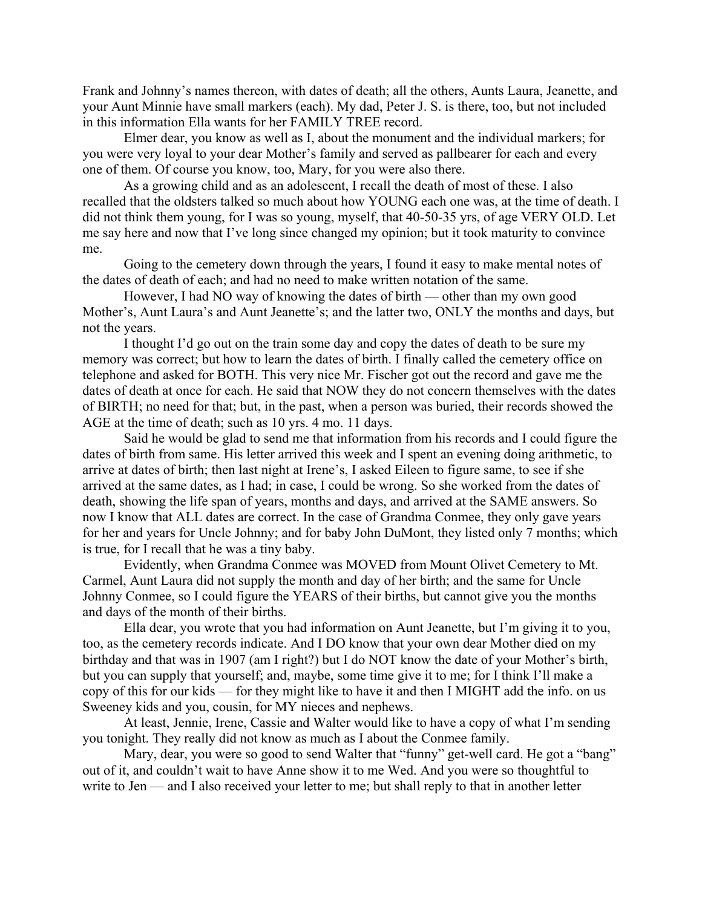Frank and Johnny's names thereon, with dates of death; all the others, Aunts Laura, Jeanette, and your Aunt Minnie have small markers (each). My dad, Peter J. S. is there, too, but not included in this information Ella wants for her FAMILY TREE record.

 Elmer dear, you know as well as I, about the monument and the individual markers; for you were very loyal to your dear Mother's family and served as pallbearer for each and every one of them. Of course you know, too, Mary, for you were also there.

 As a growing child and as an adolescent, I recall the death of most of these. I also recalled that the oldsters talked so much about how YOUNG each one was, at the time of death. I did not think them young, for I was so young, myself, that 40-50-35 yrs, of age VERY OLD. Let me say here and now that I've long since changed my opinion; but it took maturity to convince me.

 Going to the cemetery down through the years, I found it easy to make mental notes of the dates of death of each; and had no need to make written notation of the same.

 However, I had NO way of knowing the dates of birth — other than my own good Mother's, Aunt Laura's and Aunt Jeanette's; and the latter two, ONLY the months and days, but not the years.

 I thought I'd go out on the train some day and copy the dates of death to be sure my memory was correct; but how to learn the dates of birth. I finally called the cemetery office on telephone and asked for BOTH. This very nice Mr. Fischer got out the record and gave me the dates of death at once for each. He said that NOW they do not concern themselves with the dates of BIRTH; no need for that; but, in the past, when a person was buried, their records showed the AGE at the time of death; such as 10 yrs. 4 mo. 11 days.

 Said he would be glad to send me that information from his records and I could figure the dates of birth from same. His letter arrived this week and I spent an evening doing arithmetic, to arrive at dates of birth; then last night at Irene's, I asked Eileen to figure same, to see if she arrived at the same dates, as I had; in case, I could be wrong. So she worked from the dates of death, showing the life span of years, months and days, and arrived at the SAME answers. So now I know that ALL dates are correct. In the case of Grandma Conmee, they only gave years for her and years for Uncle Johnny; and for baby John DuMont, they listed only 7 months; which is true, for I recall that he was a tiny baby.

 Evidently, when Grandma Conmee was MOVED from Mount Olivet Cemetery to Mt. Carmel, Aunt Laura did not supply the month and day of her birth; and the same for Uncle Johnny Conmee, so I could figure the YEARS of their births, but cannot give you the months and days of the month of their births.

 Ella dear, you wrote that you had information on Aunt Jeanette, but I'm giving it to you, too, as the cemetery records indicate. And I DO know that your own dear Mother died on my birthday and that was in 1907 (am I right?) but I do NOT know the date of your Mother's birth, but you can supply that yourself; and, maybe, some time give it to me; for I think I'll make a copy of this for our kids — for they might like to have it and then I MIGHT add the info. on us Sweeney kids and you, cousin, for MY nieces and nephews.

 At least, Jennie, Irene, Cassie and Walter would like to have a copy of what I'm sending you tonight. They really did not know as much as I about the Conmee family.

Mary, dear, you were so good to send Walter that "funny" get-well card. He got a "bang" out of it, and couldn't wait to have Anne show it to me Wed. And you were so thoughtful to write to Jen — and I also received your letter to me; but shall reply to that in another letter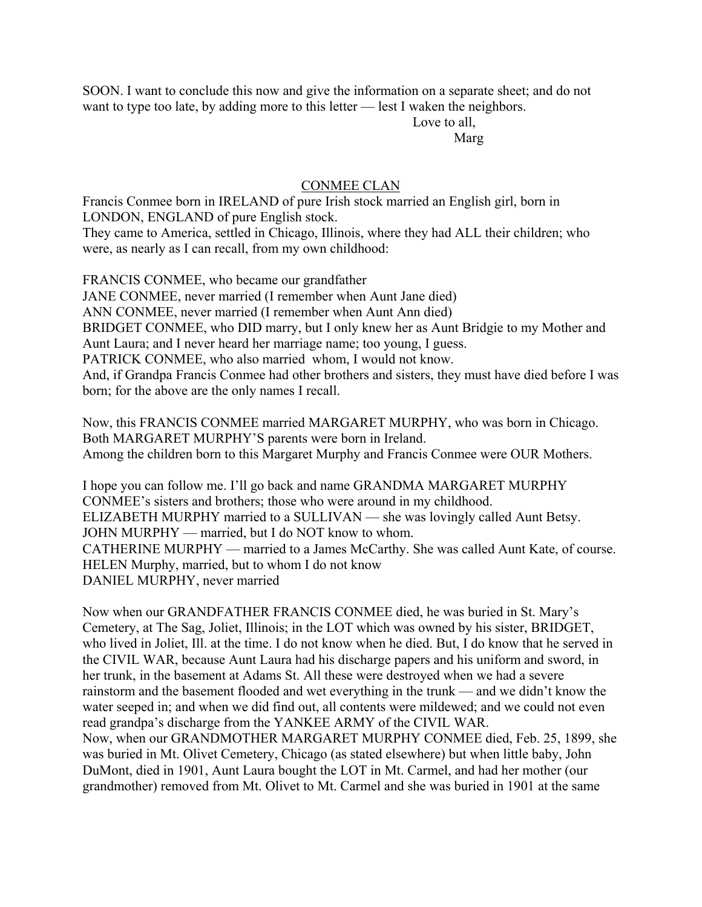SOON. I want to conclude this now and give the information on a separate sheet; and do not want to type too late, by adding more to this letter — lest I waken the neighbors.

 Love to all, Margaret and Margaret and Margaret and Margaret and Margaret and Margaret and Margaret and Margaret and Margaret and Margaret and Margaret and Margaret and Margaret and Margaret and Margaret and Margaret and Margaret and M

## CONMEE CLAN

Francis Conmee born in IRELAND of pure Irish stock married an English girl, born in LONDON, ENGLAND of pure English stock. They came to America, settled in Chicago, Illinois, where they had ALL their children; who

were, as nearly as I can recall, from my own childhood:

FRANCIS CONMEE, who became our grandfather JANE CONMEE, never married (I remember when Aunt Jane died) ANN CONMEE, never married (I remember when Aunt Ann died) BRIDGET CONMEE, who DID marry, but I only knew her as Aunt Bridgie to my Mother and Aunt Laura; and I never heard her marriage name; too young, I guess. PATRICK CONMEE, who also married whom, I would not know. And, if Grandpa Francis Conmee had other brothers and sisters, they must have died before I was born; for the above are the only names I recall.

Now, this FRANCIS CONMEE married MARGARET MURPHY, who was born in Chicago. Both MARGARET MURPHY'S parents were born in Ireland. Among the children born to this Margaret Murphy and Francis Conmee were OUR Mothers.

I hope you can follow me. I'll go back and name GRANDMA MARGARET MURPHY CONMEE's sisters and brothers; those who were around in my childhood. ELIZABETH MURPHY married to a SULLIVAN — she was lovingly called Aunt Betsy. JOHN MURPHY — married, but I do NOT know to whom. CATHERINE MURPHY — married to a James McCarthy. She was called Aunt Kate, of course. HELEN Murphy, married, but to whom I do not know DANIEL MURPHY, never married

Now when our GRANDFATHER FRANCIS CONMEE died, he was buried in St. Mary's Cemetery, at The Sag, Joliet, Illinois; in the LOT which was owned by his sister, BRIDGET, who lived in Joliet, Ill. at the time. I do not know when he died. But, I do know that he served in the CIVIL WAR, because Aunt Laura had his discharge papers and his uniform and sword, in her trunk, in the basement at Adams St. All these were destroyed when we had a severe rainstorm and the basement flooded and wet everything in the trunk — and we didn't know the water seeped in; and when we did find out, all contents were mildewed; and we could not even read grandpa's discharge from the YANKEE ARMY of the CIVIL WAR.

Now, when our GRANDMOTHER MARGARET MURPHY CONMEE died, Feb. 25, 1899, she was buried in Mt. Olivet Cemetery, Chicago (as stated elsewhere) but when little baby, John DuMont, died in 1901, Aunt Laura bought the LOT in Mt. Carmel, and had her mother (our grandmother) removed from Mt. Olivet to Mt. Carmel and she was buried in 1901 at the same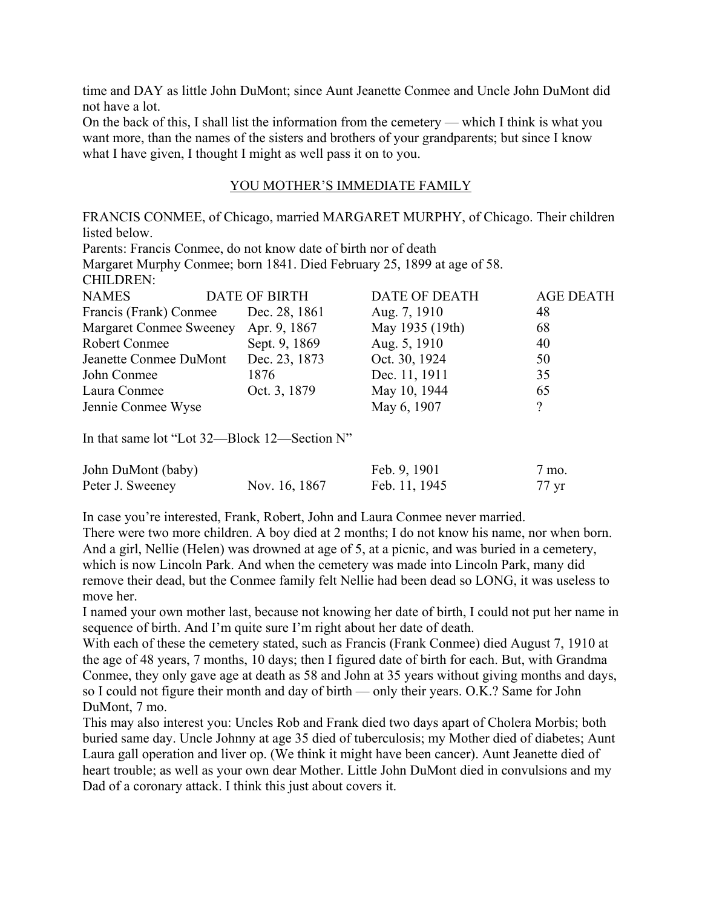time and DAY as little John DuMont; since Aunt Jeanette Conmee and Uncle John DuMont did not have a lot.

On the back of this, I shall list the information from the cemetery — which I think is what you want more, than the names of the sisters and brothers of your grandparents; but since I know what I have given, I thought I might as well pass it on to you.

## YOU MOTHER'S IMMEDIATE FAMILY

FRANCIS CONMEE, of Chicago, married MARGARET MURPHY, of Chicago. Their children listed below. Parents: Francis Conmee, do not know date of birth nor of death Margaret Murphy Conmee; born 1841. Died February 25, 1899 at age of 58. CHILDREN: NAMES DATE OF BIRTH DATE OF DEATH AGE DEATH Francis (Frank) Conmee Dec. 28, 1861 Aug. 7, 1910 48 Margaret Conmee Sweeney Apr. 9, 1867 May 1935 (19th) 68 Robert Conmee Sept. 9, 1869 Aug. 5, 1910 40 Jeanette Conmee DuMont Dec. 23, 1873 Oct. 30, 1924 50 John Conmee 1876 Dec. 11, 1911 35 Laura Conmee **Oct.** 3, 1879 May 10, 1944 65 Jennie Conmee Wyse May 6, 1907 ?

In that same lot "Lot 32—Block 12—Section N"

| John DuMont (baby) |               | Feb. 9, 1901  | 7 mo. |
|--------------------|---------------|---------------|-------|
| Peter J. Sweeney   | Nov. 16, 1867 | Feb. 11, 1945 | 77 yr |

In case you're interested, Frank, Robert, John and Laura Conmee never married.

There were two more children. A boy died at 2 months; I do not know his name, nor when born. And a girl, Nellie (Helen) was drowned at age of 5, at a picnic, and was buried in a cemetery, which is now Lincoln Park. And when the cemetery was made into Lincoln Park, many did remove their dead, but the Conmee family felt Nellie had been dead so LONG, it was useless to move her.

I named your own mother last, because not knowing her date of birth, I could not put her name in sequence of birth. And I'm quite sure I'm right about her date of death.

With each of these the cemetery stated, such as Francis (Frank Conmee) died August 7, 1910 at the age of 48 years, 7 months, 10 days; then I figured date of birth for each. But, with Grandma Conmee, they only gave age at death as 58 and John at 35 years without giving months and days, so I could not figure their month and day of birth — only their years. O.K.? Same for John DuMont, 7 mo.

This may also interest you: Uncles Rob and Frank died two days apart of Cholera Morbis; both buried same day. Uncle Johnny at age 35 died of tuberculosis; my Mother died of diabetes; Aunt Laura gall operation and liver op. (We think it might have been cancer). Aunt Jeanette died of heart trouble; as well as your own dear Mother. Little John DuMont died in convulsions and my Dad of a coronary attack. I think this just about covers it.